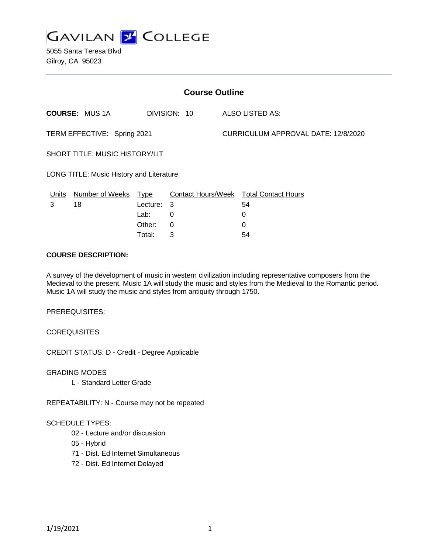

5055 Santa Teresa Blvd Gilroy, CA 95023

| <b>Course Outline</b>                    |                        |             |              |  |                                        |  |
|------------------------------------------|------------------------|-------------|--------------|--|----------------------------------------|--|
|                                          | <b>COURSE: MUS 1A</b>  |             | DIVISION: 10 |  | ALSO LISTED AS:                        |  |
| TERM EFFECTIVE: Spring 2021              |                        |             |              |  | CURRICULUM APPROVAL DATE: 12/8/2020    |  |
| <b>SHORT TITLE: MUSIC HISTORY/LIT</b>    |                        |             |              |  |                                        |  |
| LONG TITLE: Music History and Literature |                        |             |              |  |                                        |  |
| Units                                    | <b>Number of Weeks</b> | <b>Type</b> |              |  | Contact Hours/Week Total Contact Hours |  |
| 3                                        | 18                     | Lecture: 3  |              |  | 54                                     |  |
|                                          |                        | Lab:        | 0            |  | 0                                      |  |
|                                          |                        | Other:      | 0            |  | 0                                      |  |

Total: 3 54

#### **COURSE DESCRIPTION:**

A survey of the development of music in western civilization including representative composers from the Medieval to the present. Music 1A will study the music and styles from the Medieval to the Romantic period. Music 1A will study the music and styles from antiquity through 1750.

PREREQUISITES:

COREQUISITES:

CREDIT STATUS: D - Credit - Degree Applicable

GRADING MODES

L - Standard Letter Grade

REPEATABILITY: N - Course may not be repeated

#### SCHEDULE TYPES:

- 02 Lecture and/or discussion
- 05 Hybrid
- 71 Dist. Ed Internet Simultaneous
- 72 Dist. Ed Internet Delayed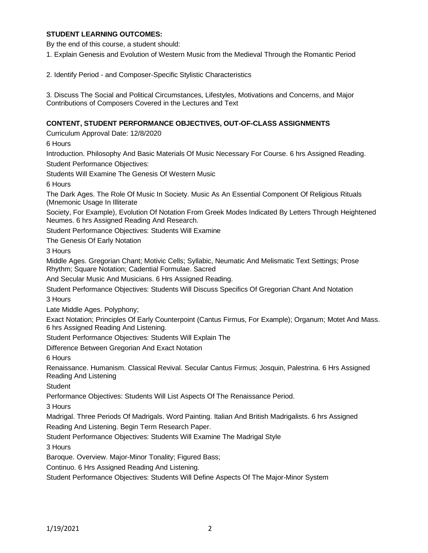### **STUDENT LEARNING OUTCOMES:**

By the end of this course, a student should:

1. Explain Genesis and Evolution of Western Music from the Medieval Through the Romantic Period

2. Identify Period - and Composer-Specific Stylistic Characteristics

3. Discuss The Social and Political Circumstances, Lifestyles, Motivations and Concerns, and Major Contributions of Composers Covered in the Lectures and Text

### **CONTENT, STUDENT PERFORMANCE OBJECTIVES, OUT-OF-CLASS ASSIGNMENTS**

Curriculum Approval Date: 12/8/2020

6 Hours

Introduction. Philosophy And Basic Materials Of Music Necessary For Course. 6 hrs Assigned Reading.

Student Performance Objectives:

Students Will Examine The Genesis Of Western Music

6 Hours

The Dark Ages. The Role Of Music In Society. Music As An Essential Component Of Religious Rituals (Mnemonic Usage In Illiterate

Society, For Example), Evolution Of Notation From Greek Modes Indicated By Letters Through Heightened Neumes. 6 hrs Assigned Reading And Research.

Student Performance Objectives: Students Will Examine

The Genesis Of Early Notation

3 Hours

Middle Ages. Gregorian Chant; Motivic Cells; Syllabic, Neumatic And Melismatic Text Settings; Prose Rhythm; Square Notation; Cadential Formulae. Sacred

And Secular Music And Musicians. 6 Hrs Assigned Reading.

Student Performance Objectives: Students Will Discuss Specifics Of Gregorian Chant And Notation 3 Hours

Late Middle Ages. Polyphony;

Exact Notation; Principles Of Early Counterpoint (Cantus Firmus, For Example); Organum; Motet And Mass. 6 hrs Assigned Reading And Listening.

Student Performance Objectives: Students Will Explain The

Difference Between Gregorian And Exact Notation

6 Hours

Renaissance. Humanism. Classical Revival. Secular Cantus Firmus; Josquin, Palestrina. 6 Hrs Assigned Reading And Listening

**Student** 

Performance Objectives: Students Will List Aspects Of The Renaissance Period.

3 Hours

Madrigal. Three Periods Of Madrigals. Word Painting. Italian And British Madrigalists. 6 hrs Assigned

Reading And Listening. Begin Term Research Paper.

Student Performance Objectives: Students Will Examine The Madrigal Style

3 Hours

Baroque. Overview. Major-Minor Tonality; Figured Bass;

Continuo. 6 Hrs Assigned Reading And Listening.

Student Performance Objectives: Students Will Define Aspects Of The Major-Minor System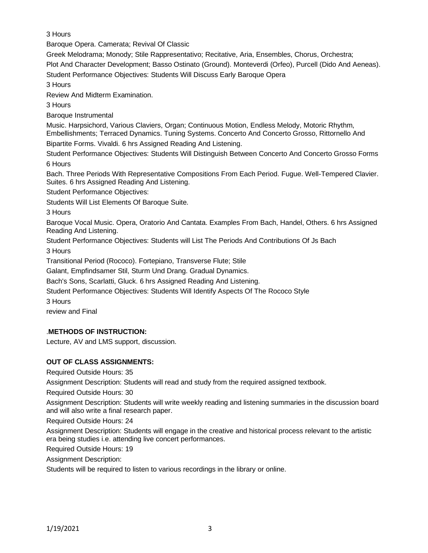3 Hours

Baroque Opera. Camerata; Revival Of Classic

Greek Melodrama; Monody; Stile Rappresentativo; Recitative, Aria, Ensembles, Chorus, Orchestra; Plot And Character Development; Basso Ostinato (Ground). Monteverdi (Orfeo), Purcell (Dido And Aeneas).

Student Performance Objectives: Students Will Discuss Early Baroque Opera

3 Hours

Review And Midterm Examination.

3 Hours

Baroque Instrumental

Music. Harpsichord, Various Claviers, Organ; Continuous Motion, Endless Melody, Motoric Rhythm, Embellishments; Terraced Dynamics. Tuning Systems. Concerto And Concerto Grosso, Rittornello And

Bipartite Forms. Vivaldi. 6 hrs Assigned Reading And Listening.

Student Performance Objectives: Students Will Distinguish Between Concerto And Concerto Grosso Forms 6 Hours

Bach. Three Periods With Representative Compositions From Each Period. Fugue. Well-Tempered Clavier. Suites. 6 hrs Assigned Reading And Listening.

Student Performance Objectives:

Students Will List Elements Of Baroque Suite.

3 Hours

Baroque Vocal Music. Opera, Oratorio And Cantata. Examples From Bach, Handel, Others. 6 hrs Assigned Reading And Listening.

Student Performance Objectives: Students will List The Periods And Contributions Of Js Bach

3 Hours

Transitional Period (Rococo). Fortepiano, Transverse Flute; Stile

Galant, Empfindsamer Stil, Sturm Und Drang. Gradual Dynamics.

Bach's Sons, Scarlatti, Gluck. 6 hrs Assigned Reading And Listening.

Student Performance Objectives: Students Will Identify Aspects Of The Rococo Style

3 Hours

review and Final

# .**METHODS OF INSTRUCTION:**

Lecture, AV and LMS support, discussion.

# **OUT OF CLASS ASSIGNMENTS:**

Required Outside Hours: 35

Assignment Description: Students will read and study from the required assigned textbook.

Required Outside Hours: 30

Assignment Description: Students will write weekly reading and listening summaries in the discussion board and will also write a final research paper.

Required Outside Hours: 24

Assignment Description: Students will engage in the creative and historical process relevant to the artistic era being studies i.e. attending live concert performances.

Required Outside Hours: 19

Assignment Description:

Students will be required to listen to various recordings in the library or online.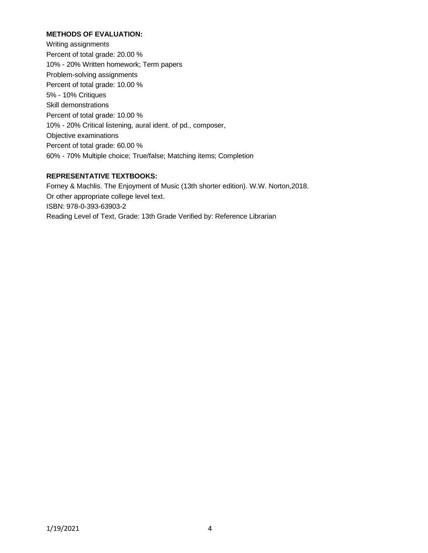## **METHODS OF EVALUATION:**

Writing assignments Percent of total grade: 20.00 % 10% - 20% Written homework; Term papers Problem-solving assignments Percent of total grade: 10.00 % 5% - 10% Critiques Skill demonstrations Percent of total grade: 10.00 % 10% - 20% Critical listening, aural ident. of pd., composer, Objective examinations Percent of total grade: 60.00 % 60% - 70% Multiple choice; True/false; Matching items; Completion

## **REPRESENTATIVE TEXTBOOKS:**

Forney & Machlis. The Enjoyment of Music (13th shorter edition). W.W. Norton,2018. Or other appropriate college level text. ISBN: 978-0-393-63903-2 Reading Level of Text, Grade: 13th Grade Verified by: Reference Librarian